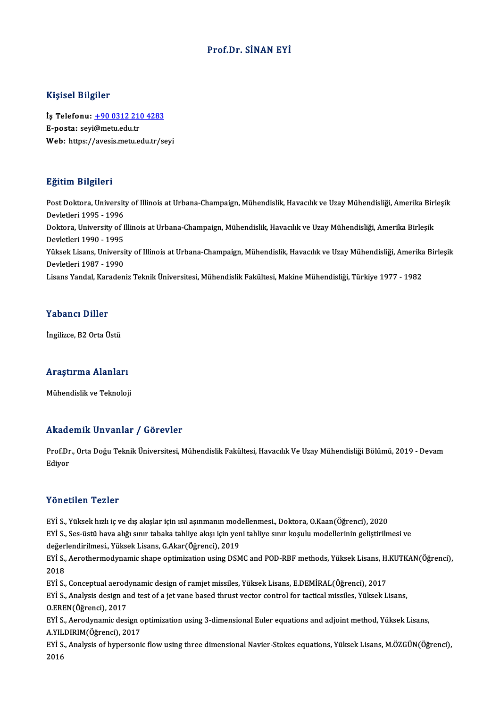#### Prof.Dr. SİNAN EYİ

#### Kişisel Bilgiler

Kişisel Bilgiler<br>İş Telefonu: <u>+90 0312 210 4283</u><br>E nasta: səvi@mətuedutr 11131011<br>İş Telefonu: <u>+90 0312 211</u><br>E-posta: seyi@metu.edu.tr<br>Web: https://avosis.metu.e E-posta: seyi@metu.edu.tr<br>Web: https:/[/avesis.metu.edu.tr/s](tel:+90 0312 210 4283)eyi

#### Eğitim Bilgileri

**Eğitim Bilgileri**<br>Post Doktora, University of Illinois at Urbana-Champaign, Mühendislik, Havacılık ve Uzay Mühendisliği, Amerika Birleşik<br>Devletleri 1995, 1996 2<br>Post Doktora, Universit<br>Devletleri 1995 - 1996<br>Dektora, University of L Post Doktora, University of Illinois at Urbana-Champaign, Mühendislik, Havacılık ve Uzay Mühendisliği, Amerika Birl<br>Devletleri 1995 - 1996<br>Devletleri 1990 - 1995<br>Pevletleri 1990 - 1995 Devletleri 1995 - 1996<br>Doktora, University of I<br>Devletleri 1990 - 1995<br><sup>Vülrook Lisano,</sup> Universi Doktora, University of Illinois at Urbana-Champaign, Mühendislik, Havacılık ve Uzay Mühendisliği, Amerika Birleşik<br>Devletleri 1990 - 1995<br>Yüksek Lisans, University of Illinois at Urbana-Champaign, Mühendislik, Havacılık ve Devletleri 1990 - 1995<br>Yüksek Lisans, Universi<br>Devletleri 1987 - 1990<br>Lisans Yandal, Kanadan Yüksek Lisans, University of Illinois at Urbana-Champaign, Mühendislik, Havacılık ve Uzay Mühendisliği, Amerika<br>Devletleri 1987 - 1990<br>Lisans Yandal, Karadeniz Teknik Üniversitesi, Mühendislik Fakültesi, Makine Mühendisliğ Lisans Yandal, Karadeniz Teknik Üniversitesi, Mühendislik Fakültesi, Makine Mühendisliği, Türkiye 1977 - 1982<br>Yabancı Diller

İngilizce,B2OrtaÜstü

## nginzce, 62 orta ostu<br>Araştırma Alanları <mark>Araştırma Alanları</mark><br>Mühendislik ve Teknoloji

# Mühendislik ve Teknoloji<br>Akademik Unvanlar / Görevler

**Akademik Unvanlar / Görevler**<br>Prof.Dr., Orta Doğu Teknik Üniversitesi, Mühendislik Fakültesi, Havacılık Ve Uzay Mühendisliği Bölümü, 2019 - Devam<br>Ediyar rrnaa<br>Prof.Dr<br>Ediyor Yönetilen Tezler

EYİ S.,Yüksekhızlı iç ve dış akışlar içinısılaşınmanınmodelenmesi.,Doktora,O.Kaan(Öğrenci),2020

EYİ S., Ses-üstü hava alığı sınır tabaka tahliye akışı için yeni tahliye sınır koşulu modellerinin geliştirilmesi ve EYİ S., Yüksek hızlı iç ve dış akışlar için ısıl aşınmanın mod<br>EYİ S., Ses-üstü hava alığı sınır tabaka tahliye akışı için yen<br>değerlendirilmesi., Yüksek Lisans, G.Akar(Öğrenci), 2019<br>E<sup>Vİ S.</sup> Asratharmadırısmiş shans anti

EYİ S., Aerothermodynamic shape optimization using DSMC and POD-RBF methods, Yüksek Lisans, H.KUTKAN(Öğrenci),<br>2018 değer<br>EYİ S.,<br>2018<br>EVİ S EYİ S., Aerothermodynamic shape optimization using DSMC and POD-RBF methods, Yüksek Lisans, H.<br>2018<br>EYİ S., Conceptual aerodynamic design of ramjet missiles, Yüksek Lisans, E.DEMİRAL(Öğrenci), 2017<br>EYİ S., Analysis design

2018<br>EYİ S., Conceptual aerodynamic design of ramjet missiles, Yüksek Lisans, E.DEMİRAL(Öğrenci), 2017<br>EYİ S., Analysis design and test of a jet vane based thrust vector control for tactical missiles, Yüksek Lisans,<br>O.EREN EYİ S., Conceptual aerod<br>EYİ S., Analysis design ar<br>O.EREN(Öğrenci), 2017<br>E<sup>Vİ S.</sup>, Asradımamis desi EYİ S., Analysis design and test of a jet vane based thrust vector control for tactical missiles, Yüksek Lisans,<br>O.EREN(Öğrenci), 2017<br>EYİ S., Aerodynamic design optimization using 3-dimensional Euler equations and adjoint

O.EREN(Öğrenci), 2017<br>EYİ S., Aerodynamic design c<br>A.YILDIRIM(Öğrenci), 2017<br>E<sup>Vİ S.</sup>, Anakraja of hynoreani EYİ S., Aerodynamic design optimization using 3-dimensional Euler equations and adjoint method, Yüksek Lisans,<br>A.YILDIRIM(Öğrenci), 2017<br>EYİ S., Analysis of hypersonic flow using three dimensional Navier-Stokes equations,

A.YILDIRIM(Öğrenci), 2017<br>EYİ S., Analysis of hypersonic flow using three dimensional Navier-Stokes equations, Yüksek Lisans, M.ÖZGÜN(Öğrenci),<br>2016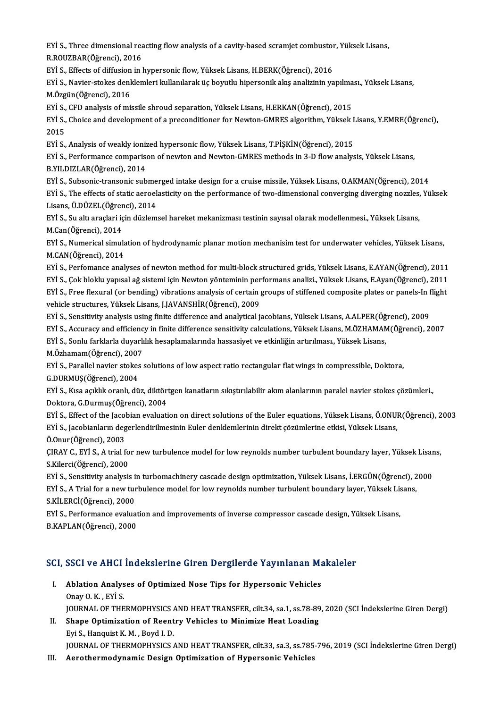EYİ S., Three dimensional reacting flow analysis of a cavity-based scramjet combustor, Yüksek Lisans,<br>R.ROUZRAR(Öğrengi), 2016 EYİ S., Three dimensional rea<br>R.ROUZBAR(Öğrenci), 2016<br>EYİ S., Effecte of diffusion in l EYİ S., Three dimensional reacting flow analysis of a cavity-based scramjet combustor<br>R.ROUZBAR(Öğrenci), 2016<br>EYİ S., Effects of diffusion in hypersonic flow, Yüksek Lisans, H.BERK(Öğrenci), 2016<br>EYİ S. Naviar stakas dank

R.ROUZBAR(Öğrenci), 2016<br>EYİ S., Effects of diffusion in hypersonic flow, Yüksek Lisans, H.BERK(Öğrenci), 2016<br>EYİ S., Navier-stokes denklemleri kullanılarak üç boyutlu hipersonik akış analizinin yapılması., Yüksek Lisans, EYİ S., Effects of diffusion<br>EYİ S., Navier-stokes denl<br>M.Özgün(Öğrenci), 2016<br>EYİ S. CED analysis of mi EYİ S., Navier-stokes denklemleri kullanılarak üç boyutlu hipersonik akış analizinin yapılma<br>M.Özgün(Öğrenci), 2016<br>EYİ S., CFD analysis of missile shroud separation, Yüksek Lisans, H.ERKAN(Öğrenci), 2015<br>EYİ S., Choice an

M.Özgün(Öğrenci), 2016<br>EYİ S., CFD analysis of missile shroud separation, Yüksek Lisans, H.ERKAN(Öğrenci), 2015<br>EYİ S., Choice and development of a preconditioner for Newton-GMRES algorithm, Yüksek Lisans, Y.EMRE(Öğrenci), EYİ S.,<br>EYİ S.,<br>2015<br>EVİ S EYİ S., Choice and development of a preconditioner for Newton-GMRES algorithm, Yüksek I<br>2015<br>EYİ S., Analysis of weakly ionized hypersonic flow, Yüksek Lisans, T.PİŞKİN(Öğrenci), 2015<br>EYİ S. Perfermance comparison of neutr

2015<br>EYİ S., Analysis of weakly ionized hypersonic flow, Yüksek Lisans, T.PİŞKİN(Öğrenci), 2015<br>EYİ S., Performance comparison of newton and Newton-GMRES methods in 3-D flow analysis, Yüksek Lisans,<br>R.YU.DIZLAR(Öğrenci), 2 EYİ S., Analysis of weakly ioniz<br>EYİ S., Performance comparis<br>B.YILDIZLAR(Öğrenci), 2014<br>EYİ S. Subsonis transonis sub EYİ S., Performance comparison of newton and Newton-GMRES methods in 3-D flow analysis, Yüksek Lisans,<br>B.YILDIZLAR(Öğrenci), 2014<br>EYİ S., Subsonic-transonic submerged intake design for a cruise missile, Yüksek Lisans, O.AK

B.YILDIZLAR(Öğrenci), 2014<br>EYİ S., Subsonic-transonic submerged intake design for a cruise missile, Yüksek Lisans, O.AKMAN(Öğrenci), 2014<br>EYİ S., The effects of static aeroelasticity on the performance of two-dimensional c EYİ S., Subsonic-transonic subme<br>EYİ S., The effects of static aeroel:<br>Lisans, Ü.DÜZEL(Öğrenci), 2014<br>EYİ S. Su altı arasları için dürlem EYİ S., The effects of static aeroelasticity on the performance of two-dimensional converging diverging nozzles,<br>Lisans, Ü.DÜZEL(Öğrenci), 2014<br>EYİ S., Su altı araçlari için düzlemsel hareket mekanizması testinin sayısal o

Lisans, Ü.DÜZEL(Öğrer<br>EYİ S., Su altı araçlari iç<br>M.Can(Öğrenci), 2014<br>EYİ S. Numarisal simul EYİ S., Su altı araçlari için düzlemsel hareket mekanizması testinin sayısal olarak modellenmesi., Yüksek Lisans,<br>M.Can(Öğrenci), 2014<br>EYİ S., Numerical simulation of hydrodynamic planar motion mechanisim test for underwat

M.Can(Öğrenci), 2014<br>EYİ S., Numerical simula<br>M.CAN(Öğrenci), 2014<br>E<sup>Vİ S.</sup>, Perfomanas anal EYİ S., Numerical simulation of hydrodynamic planar motion mechanisim test for underwater vehicles, Yüksek Lisans,<br>M.CAN(Öğrenci), 2014<br>EYİ S., Perfomance analyses of newton method for multi-block structured grids, Yüksek

M.CAN(Öğrenci), 2014<br>EYİ S., Perfomance analyses of newton method for multi-block structured grids, Yüksek Lisans, E.AYAN(Öğrenci), 2011<br>EYİ S., Çok bloklu yapısal ağ sistemi için Newton yönteminin performans analizi., Yük EYİ S., Perfomance analyses of newton method for multi-block structured grids, Yüksek Lisans, E.AYAN(Öğrenci), 2011<br>EYİ S., Çok bloklu yapısal ağ sistemi için Newton yönteminin performans analizi., Yüksek Lisans, E.Ayan(Öğ EYİ S., Çok bloklu yapısal ağ sistemi için Newton yönteminin performans analizi., Yüksek Lisans, E.Ayan(Öğrenci), 2011<br>EYİ S., Free flexural (or bending) vibrations analysis of certain groups of stiffened composite plates EYİ S., Free flexural (or bending) vibrations analysis of certain groups of stiffened composite plates or panels-In f<br>vehicle structures, Yüksek Lisans, J.JAVANSHİR(Öğrenci), 2009<br>EYİ S., Sensitivity analysis using finite vehicle structures, Yüksek Lisans, J.JAVANSHİR(Öğrenci), 2009<br>EYİ S., Sensitivity analysis using finite difference and analytical jacobians, Yüksek Lisans, A.ALPER(Öğrenci), 2009<br>EYİ S., Accuracy and efficiency in finite d

EYİ S., Sensitivity analysis using finite difference and analytical jacobians, Yüksek Lisans, A.ALPER(Öğ<br>EYİ S., Accuracy and efficiency in finite difference sensitivity calculations, Yüksek Lisans, M.ÖZHAMAN<br>EYİ S., Sonlu

EYİ S., Accuracy and efficiency in finite difference sensitivity calculations, Yüksek Lisans, M.ÖZHAMAM(Öğrenci), 2007<br>EYİ S., Sonlu farklarla duyarlılık hesaplamalarında hassasiyet ve etkinliğin artırılması., Yüksek Lisan

M.Özhamam(Öğrenci), 2007

EYİ S., Sonlu farklarla duyarlılık hesaplamalarında hassasiyet ve etkinliğin artırılması., Yüksek Lisans,<br>M.Özhamam(Öğrenci), 2007<br>EYİ S., Parallel navier stokes solutions of low aspect ratio rectangular flat wings in comp EYİ S., Parallel navier stokes solutions of low aspect ratio rectangular flat wings in compressible, Doktora,<br>G.DURMUŞ(Öğrenci), 2004<br>EYİ S., Kısa açıklık oranlı, düz, diktörtgen kanatların sıkıştırılabilir akım alanlarını

G.DURMUŞ(Öğrenci), 2004<br>EYİ S., Kısa açıklık oranlı, düz, diktör<br>Doktora, G.Durmuş(Öğrenci), 2004<br>EYİ S., Effect of the Jacobian evalyati EYİ S., Kısa açıklık oranlı, düz, diktörtgen kanatların sıkıştırılabilir akım alanlarının paralel navier stokes çözümleri.,<br>Doktora, G.Durmuş(Öğrenci), 2004<br>EYİ S., Effect of the Jacobian evaluation on direct solutions of

Doktora, G.Durmuş(Öğrenci), 2004<br>EYİ S., Effect of the Jacobian evaluation on direct solutions of the Euler equations, Yüksek Lisans, Ö.ONUI<br>EYİ S., Jacobianların degerlendirilmesinin Euler denklemlerinin direkt çözümlerin EYİ S., Jacobianların degerlendirilmesinin Euler denklemlerinin direkt çözümlerine etkisi, Yüksek Lisans, Ö.Onur(Öğrenci), 2003

EYİ S., Jacobianların degerlendirilmesinin Euler denklemlerinin direkt çözümlerine etkisi, Yüksek Lisans,<br>Ö.Onur(Öğrenci), 2003<br>ÇIRAY C., EYİ S., A trial for new turbulence model for low reynolds number turbulent boundary Ö.Onur (Öğrenci), 2003<br>ÇIRAY C., EYİ S., A trial fo<br>S.Kilerci (Öğrenci), 2000<br>E<sup>Vİ S.</sup> Sonsitivity analyai ÇIRAY C., EYİ S., A trial for new turbulence model for low reynolds number turbulent boundary layer, Yüksek Lisar<br>S.Kilerci(Öğrenci), 2000<br>EYİ S., Sensitivity analysis in turbomachinery cascade design optimization, Yüksek

S.Kilerci(Öğrenci), 2000<br>EYİ S., Sensitivity analysis in turbomachinery cascade design optimization, Yüksek Lisans, İ.ERGÜN(Öğrenci), 2<br>EYİ S., A Trial for a new turbulence model for low reynolds number turbulent boundary EYİ S., Sensitivity analysis i<br>EYİ S., A Trial for a new tur<br>S.KİLERCİ(Öğrenci), 2000<br>EYİ S. Performance evalua EYİ S., A Trial for a new turbulence model for low reynolds number turbulent boundary layer, Yüksek Lis<br>S.KİLERCİ(Öğrenci), 2000<br>EYİ S., Performance evaluation and improvements of inverse compressor cascade design, Yüksek

S.KİLERCİ(Öğrenci), 2000<br>EYİ S., Performance evaluat<br>B.KAPLAN(Öğrenci), 2000

# B.KAPLAN(Ogrencı), 2000<br>SCI, SSCI ve AHCI İndekslerine Giren Dergilerde Yayınlanan Makaleler

- CI, SSCI ve AHCI İndekslerine Giren Dergilerde Yayınlanan Ma<br>I. Ablation Analyses of Optimized Nose Tips for Hypersonic Vehicles<br>Onav O.K., Evi S I. Ablation Analyses of Optimized Nose Tips for Hypersonic Vehicles<br>Onay O.K., EYİ S. Ablation Analyses of Optimized Nose Tips for Hypersonic Vehicles<br>Onay O. K. , EYİ S.<br>JOURNAL OF THERMOPHYSICS AND HEAT TRANSFER, cilt.34, sa.1, ss.78-89, 2020 (SCI İndekslerine Giren Dergi)<br>Shane Ontimization of Beentru Ve
- II. Shape Optimization of Reentry Vehicles to Minimize Heat Loading<br>Eyi S., Hanguist K. M., Boyd I. D. **JOURNAL OF THERMOPHYSICS /<br>Shape Optimization of Reent**<br>Eyi S., Hanquist K. M. , Boyd I. D.<br>JOUPNAL OF THEPMOPHYSICS *(* JOURNAL OF THERMOPHYSICS AND HEAT TRANSFER, cilt.33, sa.3, ss.785-796, 2019 (SCI Indekslerine Giren Dergi)
- III. Aerothermodynamic Design Optimization of Hypersonic Vehicles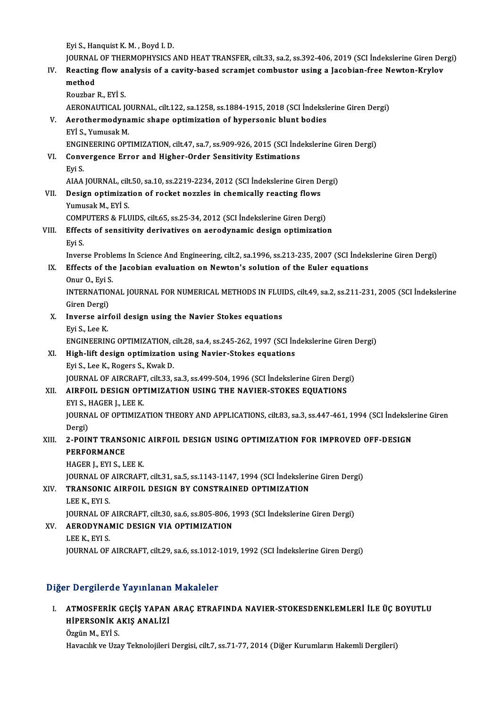EyiS.,HanquistK.M. ,Boyd I.D.

JOURNAL OF THERMOPHYSICS AND HEAT TRANSFER, cilt.33, sa.2, ss.392-406, 2019 (SCI İndekslerine Giren Dergi)

Eyi S., Hanquist K. M. , Boyd I. D.<br>JOURNAL OF THERMOPHYSICS AND HEAT TRANSFER, cilt.33, sa.2, ss.392-406, 2019 (SCI İndekslerine Giren Dei<br>IV. Reacting flow analysis of a cavity-based scramjet combustor using a Jacobi JOURNAL<br>Reacting<br>method<br><sup>Rougher</sup>

| IV    | Reacting flow analysis of a cavity-based scramjet combustor using a Jacobian-free Newton-Krylov<br>method     |
|-------|---------------------------------------------------------------------------------------------------------------|
|       | Rouzbar R., EYİ S.                                                                                            |
|       | AERONAUTICAL JOURNAL, cilt.122, sa 1258, ss.1884-1915, 2018 (SCI İndekslerine Giren Dergi)                    |
| V.    | Aerothermodynamic shape optimization of hypersonic blunt bodies                                               |
|       | EYİ S., Yumusak M.                                                                                            |
|       | ENGINEERING OPTIMIZATION, cilt.47, sa.7, ss.909-926, 2015 (SCI Indekslerine Giren Dergi)                      |
| VI.   | Convergence Error and Higher-Order Sensitivity Estimations                                                    |
|       | Eyi S                                                                                                         |
|       | AIAA JOURNAL, cilt.50, sa.10, ss.2219-2234, 2012 (SCI Indekslerine Giren Dergi)                               |
| VII.  | Design optimization of rocket nozzles in chemically reacting flows                                            |
|       | Yumusak M., EYİ S.                                                                                            |
|       | COMPUTERS & FLUIDS, cilt.65, ss.25-34, 2012 (SCI Indekslerine Giren Dergi)                                    |
| VIII. | Effects of sensitivity derivatives on aerodynamic design optimization                                         |
|       | Eyi S                                                                                                         |
|       | Inverse Problems In Science And Engineering, cilt.2, sa.1996, ss.213-235, 2007 (SCI Indekslerine Giren Dergi) |
| IX.   | Effects of the Jacobian evaluation on Newton's solution of the Euler equations                                |
|       | Onur O., Eyi S.                                                                                               |
|       | INTERNATIONAL JOURNAL FOR NUMERICAL METHODS IN FLUIDS, cilt.49, sa.2, ss.211-231, 2005 (SCI Indekslerine      |
|       | Giren Dergi)                                                                                                  |
| Х.    | Inverse airfoil design using the Navier Stokes equations                                                      |
|       | Eyi S., Lee K.                                                                                                |
|       | ENGINEERING OPTIMIZATION, cilt.28, sa.4, ss.245-262, 1997 (SCI Indekslerine Giren Dergi)                      |
| XI.   | High-lift design optimization using Navier-Stokes equations                                                   |
|       | Eyi S, Lee K, Rogers S, Kwak D.                                                                               |
|       | JOURNAL OF AIRCRAFT, cilt.33, sa.3, ss.499-504, 1996 (SCI Indekslerine Giren Dergi)                           |
| XII.  | AIRFOIL DESIGN OPTIMIZATION USING THE NAVIER-STOKES EQUATIONS                                                 |
|       | EYI S., HAGER J., LEE K.                                                                                      |
|       | JOURNAL OF OPTIMIZATION THEORY AND APPLICATIONS, cilt.83, sa.3, ss.447-461, 1994 (SCI Indekslerine Giren      |
|       | Dergi)                                                                                                        |
| XIII. | 2-POINT TRANSONIC AIRFOIL DESIGN USING OPTIMIZATION FOR IMPROVED OFF-DESIGN                                   |
|       | <b>PERFORMANCE</b>                                                                                            |
|       | HAGER J., EYI S., LEE K.                                                                                      |
|       | JOURNAL OF AIRCRAFT, cilt.31, sa.5, ss.1143-1147, 1994 (SCI İndekslerine Giren Dergi)                         |
| XIV.  | TRANSONIC AIRFOIL DESIGN BY CONSTRAINED OPTIMIZATION                                                          |
|       | LEE K, EYI S.                                                                                                 |
|       | JOURNAL OF AIRCRAFT, cilt.30, sa.6, ss.805-806, 1993 (SCI Indekslerine Giren Dergi)                           |
| XV.   | AERODYNAMIC DESIGN VIA OPTIMIZATION                                                                           |
|       | LEE K, EYI S.                                                                                                 |
|       | JOURNAL OF AIRCRAFT, cilt.29, sa.6, ss.1012-1019, 1992 (SCI İndekslerine Giren Dergi)                         |
|       |                                                                                                               |

#### Diğer Dergilerde Yayınlanan Makaleler

I. ATMOSFERİK GEÇİŞ YAPAN ARAÇ ETRAFINDA NAVIER-STOKESDENKLEMLERİ İLE ÜÇ BOYUTLU T Bergherde Tayımandı<br>ATMOSFERİK GEÇİŞ YAPAN<br>HİPERSONİK AKIŞ ANALİZİ ATMOSFERİK<br>HİPERSONİK A<br>Özgün M., EYİ S.<br>Havasılık ve Uza

Özgün M., EYİ S.<br>Havacılık ve Uzay Teknolojileri Dergisi, cilt.7, ss.71-77, 2014 (Diğer Kurumların Hakemli Dergileri)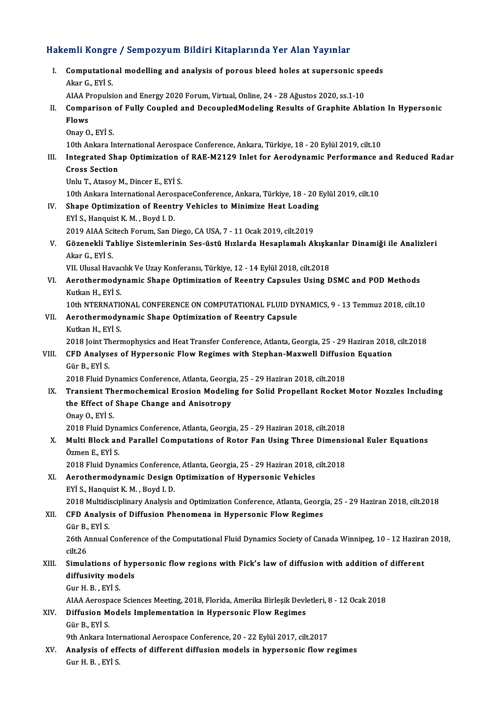# Hakemli Kongre / Sempozyum Bildiri Kitaplarında Yer Alan Yayınlar<br>Hakemli Kongre / Sempozyum Bildiri Kitaplarında Yer Alan Yayınlar

|       | Hakemli Kongre / Sempozyum Bildiri Kitaplarında Yer Alan Yayınlar                                              |
|-------|----------------------------------------------------------------------------------------------------------------|
| L.    | Computational modelling and analysis of porous bleed holes at supersonic speeds<br>Akar G, EYİ S               |
|       | AIAA Propulsion and Energy 2020 Forum, Virtual, Online, 24 - 28 Ağustos 2020, ss.1-10                          |
| П.    | Comparison of Fully Coupled and DecoupledModeling Results of Graphite Ablation In Hypersonic                   |
|       | Flows                                                                                                          |
|       | Onay O., EYİ S.                                                                                                |
|       | 10th Ankara International Aerospace Conference, Ankara, Türkiye, 18 - 20 Eylül 2019, cilt.10                   |
| III.  | Integrated Shap Optimization of RAE-M2129 Inlet for Aerodynamic Performance and Reduced Radar                  |
|       | <b>Cross Section</b>                                                                                           |
|       | Unlu T., Atasoy M., Dincer E., EYİ S.                                                                          |
|       | 10th Ankara International AerospaceConference, Ankara, Türkiye, 18 - 20 Eylül 2019, cilt.10                    |
| IV.   | Shape Optimization of Reentry Vehicles to Minimize Heat Loading                                                |
|       | EYİ S., Hanquist K. M., Boyd I. D.                                                                             |
|       | 2019 AIAA Scitech Forum, San Diego, CA USA, 7 - 11 Ocak 2019, cilt.2019                                        |
| V.    | Gözenekli Tahliye Sistemlerinin Ses-üstü Hızlarda Hesaplamalı Akışkanlar Dinamiği ile Analizleri               |
|       | Akar G, EYİ S                                                                                                  |
|       | VII. Ulusal Havacılık Ve Uzay Konferansı, Türkiye, 12 - 14 Eylül 2018, cilt.2018                               |
| VI.   | Aerothermodynamic Shape Optimization of Reentry Capsules Using DSMC and POD Methods                            |
|       | Kutkan H., EYİ S.                                                                                              |
|       | 10th NTERNATIONAL CONFERENCE ON COMPUTATIONAL FLUID DYNAMICS, 9 - 13 Temmuz 2018, cilt.10                      |
| VII.  | Aerothermodynamic Shape Optimization of Reentry Capsule                                                        |
|       | Kutkan H., EYİ S.                                                                                              |
|       | 2018 Joint Thermophysics and Heat Transfer Conference, Atlanta, Georgia, 25 - 29 Haziran 2018, cilt.2018       |
| VIII. | CFD Analyses of Hypersonic Flow Regimes with Stephan-Maxwell Diffusion Equation                                |
|       | Gür B, EYİ S                                                                                                   |
|       | 2018 Fluid Dynamics Conference, Atlanta, Georgia, 25 - 29 Haziran 2018, cilt.2018                              |
| IX.   | Transient Thermochemical Erosion Modeling for Solid Propellant Rocket Motor Nozzles Including                  |
|       | the Effect of Shape Change and Anisotropy                                                                      |
|       | Onav O. EYI S.                                                                                                 |
|       | 2018 Fluid Dynamics Conference, Atlanta, Georgia, 25 - 29 Haziran 2018, cilt.2018                              |
| X.    | Multi Block and Parallel Computations of Rotor Fan Using Three Dimensional Euler Equations                     |
|       | Özmen E., EYİ S.                                                                                               |
|       | 2018 Fluid Dynamics Conference, Atlanta, Georgia, 25 - 29 Haziran 2018, cilt.2018                              |
| XI.   | Aerothermodynamic Design Optimization of Hypersonic Vehicles<br>EYİ S., Hanquist K. M., Boyd I. D.             |
|       | 2018 Multidisciplinary Analysis and Optimization Conference, Atlanta, Georgia, 25 - 29 Haziran 2018, cilt.2018 |
| XII.  | CFD Analysis of Diffusion Phenomena in Hypersonic Flow Regimes                                                 |
|       | Gür B, EYİ S                                                                                                   |
|       | 26th Annual Conference of the Computational Fluid Dynamics Society of Canada Winnipeg, 10 - 12 Haziran 2018,   |
|       | cilt 26                                                                                                        |
| XIII. | Simulations of hypersonic flow regions with Fick's law of diffusion with addition of different                 |
|       | diffusivity models                                                                                             |
|       | Gur H. B., EYİ S.                                                                                              |
|       | AIAA Aerospace Sciences Meeting, 2018, Florida, Amerika Birleşik Devletleri, 8 - 12 Ocak 2018                  |
| XIV.  | Diffusion Models Implementation in Hypersonic Flow Regimes                                                     |
|       | Gür B, EYİ S                                                                                                   |
|       | 9th Ankara International Aerospace Conference, 20 - 22 Eylül 2017, cilt.2017                                   |
| XV.   | Analysis of effects of different diffusion models in hypersonic flow regimes                                   |
|       | Gur H. B., EYİ S.                                                                                              |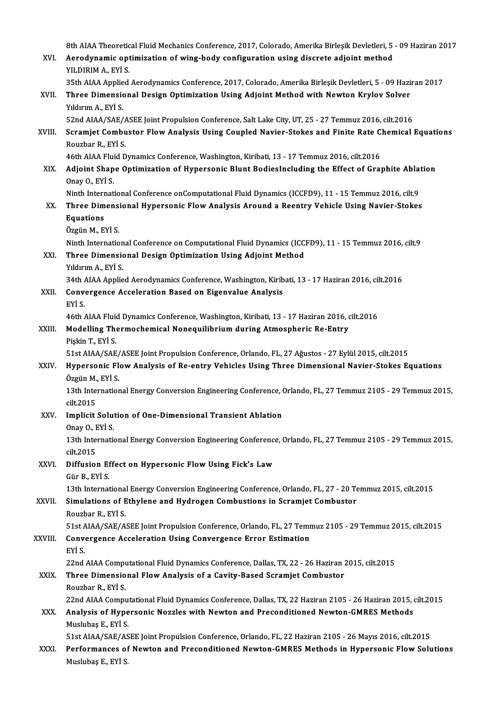|             | 8th AIAA Theoretical Fluid Mechanics Conference, 2017, Colorado, Amerika Birleşik Devletleri, 5 - 09 Haziran 2017        |
|-------------|--------------------------------------------------------------------------------------------------------------------------|
| XVI.        | Aerodynamic optimization of wing-body configuration using discrete adjoint method<br>YILDIRIM A., EYİ S.                 |
|             | 35th AIAA Applied Aerodynamics Conference, 2017, Colorado, Amerika Birleşik Devletleri, 5 - 09 Haziran 2017              |
| XVII.       | Three Dimensional Design Optimization Using Adjoint Method with Newton Krylov Solver<br>Yıldırım A., EYİ S.              |
|             | 52nd AIAA/SAE/ASEE Joint Propulsion Conference, Salt Lake City, UT, 25 - 27 Temmuz 2016, cilt.2016                       |
| XVIII.      | Scramjet Combustor Flow Analysis Using Coupled Navier-Stokes and Finite Rate Chemical Equations<br>Rouzbar R., EYİ S.    |
|             | 46th AIAA Fluid Dynamics Conference, Washington, Kiribati, 13 - 17 Temmuz 2016, cilt.2016                                |
| XIX.        | Adjoint Shape Optimization of Hypersonic Blunt BodiesIncluding the Effect of Graphite Ablation<br>Onay O., EYİ S.        |
|             | Ninth International Conference onComputational Fluid Dynamics (ICCFD9), 11 - 15 Temmuz 2016, cilt.9                      |
| XX.         | Three Dimensional Hypersonic Flow Analysis Around a Reentry Vehicle Using Navier-Stokes<br>Equations                     |
|             | Özgün M., EYİ S.                                                                                                         |
|             | Ninth International Conference on Computational Fluid Dynamics (ICCFD9), 11 - 15 Temmuz 2016, cilt.9                     |
| XXI.        | Three Dimensional Design Optimization Using Adjoint Method<br>Yıldırım A., EYİ S.                                        |
|             | 34th AIAA Applied Aerodynamics Conference, Washington, Kiribati, 13 - 17 Haziran 2016, cilt.2016                         |
| XXII.       | Convergence Acceleration Based on Eigenvalue Analysis<br>EYİ S.                                                          |
|             | 46th AIAA Fluid Dynamics Conference, Washington, Kiribati, 13 - 17 Haziran 2016, cilt.2016                               |
| XXIII.      | Modelling Thermochemical Nonequilibrium during Atmospheric Re-Entry<br>Pişkin T., EYİ S.                                 |
|             | 51st AIAA/SAE/ASEE Joint Propulsion Conference, Orlando, FL, 27 Ağustos - 27 Eylül 2015, cilt.2015                       |
| XXIV.       | Hypersonic Flow Analysis of Re-entry Vehicles Using Three Dimensional Navier-Stokes Equations<br>Özgün M., EYİ S.        |
|             | 13th International Energy Conversion Engineering Conference, Orlando, FL, 27 Temmuz 2105 - 29 Temmuz 2015,<br>cilt 2015  |
| XXV         | Implicit Solution of One-Dimensional Transient Ablation                                                                  |
|             | Onay O., EYİ S.                                                                                                          |
|             | 13th International Energy Conversion Engineering Conference, Orlando, FL, 27 Temmuz 2105 - 29 Temmuz 2015,<br>cilt.2015  |
| XXVI.       | Diffusion Effect on Hypersonic Flow Using Fick's Law                                                                     |
|             | Gür B, EYİ S<br>13th International Energy Conversion Engineering Conference, Orlando, FL, 27 - 20 Temmuz 2015, cilt.2015 |
| XXVII.      | Simulations of Ethylene and Hydrogen Combustions in Scramjet Combustor                                                   |
|             | Rouzbar R., EYİ S.                                                                                                       |
|             | 51st AIAA/SAE/ASEE Joint Propulsion Conference, Orlando, FL, 27 Temmuz 2105 - 29 Temmuz 2015, cilt.2015                  |
| XXVIII.     | Convergence Acceleration Using Convergence Error Estimation<br>EYİ S.                                                    |
|             | 22nd AIAA Computational Fluid Dynamics Conference, Dallas, TX, 22 - 26 Haziran 2015, cilt.2015                           |
| <b>XXIX</b> | Three Dimensional Flow Analysis of a Cavity-Based Scramjet Combustor<br>Rouzbar R., EYİ S.                               |
|             | 22nd AIAA Computational Fluid Dynamics Conference, Dallas, TX, 22 Haziran 2105 - 26 Haziran 2015, cilt.2015              |
| XXX.        | Analysis of Hypersonic Nozzles with Newton and Preconditioned Newton-GMRES Methods                                       |
|             | Muslubaş E, EYİ S                                                                                                        |
|             | 51st AIAA/SAE/ASEE Joint Propulsion Conference, Orlando, FL, 22 Haziran 2105 - 26 Mayıs 2016, cilt.2015                  |
| XXXI.       | Performances of Newton and Preconditioned Newton-GMRES Methods in Hypersonic Flow Solutions<br>Muslubaş E, EYİ S         |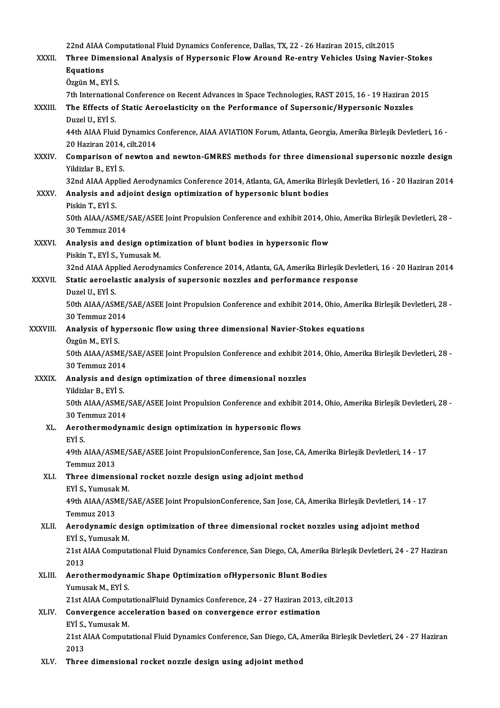|              | 22nd AIAA Computational Fluid Dynamics Conference, Dallas, TX, 22 - 26 Haziran 2015, cilt.2015                                              |
|--------------|---------------------------------------------------------------------------------------------------------------------------------------------|
| XXXII.       | Three Dimensional Analysis of Hypersonic Flow Around Re-entry Vehicles Using Navier-Stokes                                                  |
|              | <b>Equations</b>                                                                                                                            |
|              | Özgün M., EYİ S.                                                                                                                            |
|              | 7th International Conference on Recent Advances in Space Technologies, RAST 2015, 16 - 19 Haziran 2015                                      |
| XXXIII.      | The Effects of Static Aeroelasticity on the Performance of Supersonic/Hypersonic Nozzles                                                    |
|              | Duzel U, EYİ S.                                                                                                                             |
|              | 44th AIAA Fluid Dynamics Conference, AIAA AVIATION Forum, Atlanta, Georgia, Amerika Birleşik Devletleri, 16 -<br>20 Haziran 2014, cilt 2014 |
| <b>XXXIV</b> | Comparison of newton and newton-GMRES methods for three dimensional supersonic nozzle design<br>Yildizlar B., EYİ S.                        |
|              | 32nd AIAA Applied Aerodynamics Conference 2014, Atlanta, GA, Amerika Birleşik Devletleri, 16 - 20 Haziran 2014                              |
| <b>XXXV</b>  | Analysis and adjoint design optimization of hypersonic blunt bodies<br>Piskin T, EYİ S                                                      |
|              | 50th AIAA/ASME/SAE/ASEE Joint Propulsion Conference and exhibit 2014, Ohio, Amerika Birleşik Devletleri, 28 -                               |
|              | 30 Temmuz 2014                                                                                                                              |
| <b>XXXVI</b> | Analysis and design optimization of blunt bodies in hypersonic flow<br>Piskin T., EYİ S., Yumusak M.                                        |
|              | 32nd AIAA Applied Aerodynamics Conference 2014, Atlanta, GA, Amerika Birleşik Devletleri, 16 - 20 Haziran 2014                              |
| XXXVII.      | Static aeroelastic analysis of supersonic nozzles and performance response                                                                  |
|              | Duzel U, EYİ S.                                                                                                                             |
|              | 50th AIAA/ASME/SAE/ASEE Joint Propulsion Conference and exhibit 2014, Ohio, Amerika Birleşik Devletleri, 28 -                               |
|              | 30 Temmuz 2014                                                                                                                              |
| XXXVIII.     | Analysis of hypersonic flow using three dimensional Navier-Stokes equations                                                                 |
|              | Özgün M., EYİ S.                                                                                                                            |
|              | 50th AIAA/ASME/SAE/ASEE Joint Propulsion Conference and exhibit 2014, Ohio, Amerika Birleşik Devletleri, 28 -<br>30 Temmuz 2014             |
| <b>XXXIX</b> | Analysis and design optimization of three dimensional nozzles                                                                               |
|              | Yildizlar B. EYİ S.                                                                                                                         |
|              | 50th AIAA/ASME/SAE/ASEE Joint Propulsion Conference and exhibit 2014, Ohio, Amerika Birleşik Devletleri, 28 -                               |
|              | 30 Temmuz 2014                                                                                                                              |
| XL.          | Aerothermodynamic design optimization in hypersonic flows                                                                                   |
|              | EYİ S.                                                                                                                                      |
|              | 49th AIAA/ASME/SAE/ASEE Joint PropulsionConference, San Jose, CA, Amerika Birleşik Devletleri, 14 - 17<br>Temmuz 2013                       |
| XLI.         | Three dimensional rocket nozzle design using adjoint method                                                                                 |
|              | EYİ S., Yumusak M.                                                                                                                          |
|              | 49th AIAA/ASME/SAE/ASEE Joint PropulsionConference, San Jose, CA, Amerika Birleşik Devletleri, 14 - 17                                      |
|              | Temmuz 2013                                                                                                                                 |
| XLII.        | Aerodynamic design optimization of three dimensional rocket nozzles using adjoint method<br>EYİ S., Yumusak M.                              |
|              | 21st AIAA Computational Fluid Dynamics Conference, San Diego, CA, Amerika Birleşik Devletleri, 24 - 27 Haziran                              |
|              | 2013                                                                                                                                        |
| XLIII.       | Aerothermodynamic Shape Optimization ofHypersonic Blunt Bodies<br>Yumusak M., EYİ S.                                                        |
|              | 21st AIAA ComputationalFluid Dynamics Conference, 24 - 27 Haziran 2013, cilt.2013                                                           |
| XLIV.        | Convergence acceleration based on convergence error estimation                                                                              |
|              | EYİ S., Yumusak M.                                                                                                                          |
|              | 21st AIAA Computational Fluid Dynamics Conference, San Diego, CA, Amerika Birleşik Devletleri, 24 - 27 Haziran<br>2013                      |
| XLV.         | Three dimensional rocket nozzle design using adjoint method                                                                                 |
|              |                                                                                                                                             |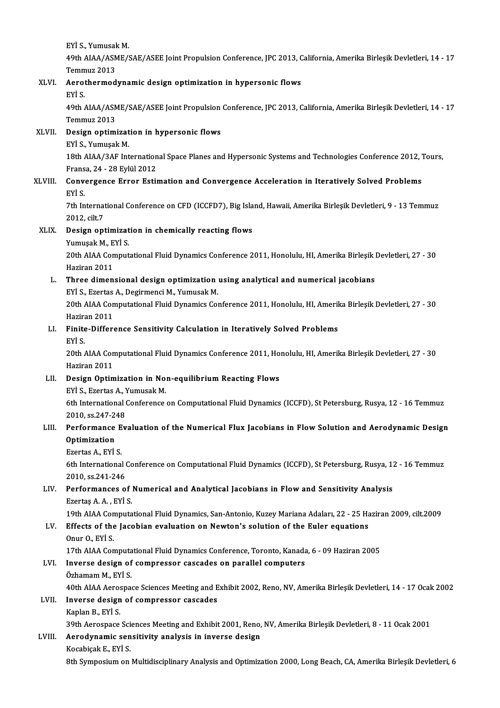EYİ S.,YumusakM.

EYİ S., Yumusak M.<br>49th AIAA/ASME/SAE/ASEE Joint Propulsion Conference, JPC 2013, California, Amerika Birleşik Devletleri, 14 - 17<br>Temmuz 2012 EYİ S., Yumusal<br>49th AIAA/ASM<br>Temmuz 2013<br>Asratbarmad 49th AIAA/ASME/SAE/ASEE Joint Propulsion Conference, JPC 2013, C<br>Temmuz 2013<br>XLVI. Aerothermodynamic design optimization in hypersonic flows<br>EVI. C

# Temm<br>Aerot<br>EYİ S.

Aerothermodynamic design optimization in hypersonic flows<br>EYİ S.<br>49th AIAA/ASME/SAE/ASEE Joint Propulsion Conference, JPC 2013, California, Amerika Birleşik Devletleri, 14 - 17<br>Temmuz 2012 EYİ S.<br>49th AIAA/ASN<br>Temmuz 2013<br>Dosian ontimi 49th AIAA/ASME/SAE/ASEE Joint Propulsion<br>Temmuz 2013<br>XLVII. Design optimization in hypersonic flows<br>EVI S. Vumusel: M

Temmuz 2013<br><mark>Design optimizat</mark><br>EYİ S., Yumuşak M.<br>19th AJAA (2AE Int

Design optimization in hypersonic flows<br>EYİ S., Yumuşak M.<br>18th AIAA/3AF International Space Planes and Hypersonic Systems and Technologies Conference 2012, Tours,<br>France 24, ...29 Fylül 2012. EYİ S., Yumuşak M.<br>18th AIAA/3AF Internation<br>Fransa, 24 - 28 Eylül 2012<br>Convergence Errer Esti 18th AIAA/3AF International Space Planes and Hypersonic Systems and Technologies Conference 2012, 7<br>Fransa, 24 - 28 Eylül 2012<br>XLVIII. Convergence Error Estimation and Convergence Acceleration in Iteratively Solved Problem

### Fransa, 24 - 28 Eylül 2012<br>Convergence Error Estimation and Convergence Acceleration in Iteratively Solved Problems<br>EYİ S. Convergence Error Estimation and Convergence Acceleration in Iteratively Solved Problems<br>EYİ S.<br>7th International Conference on CFD (ICCFD7), Big Island, Hawaii, Amerika Birleşik Devletleri, 9 - 13 Temmuz<br>2012. silt 7

EYİ S.<br>7th Internat<br>2012, cilt.7<br>Design ant 7th International Conference on CFD (ICCFD7), Big Isla<br>2012, cilt.7<br>XLIX. Design optimization in chemically reacting flows<br>Varmucal: M. EVI S.

# 2012, cilt.7<br>Design optimizat<br>Yumuşak M., EYİ S.<br>20th AJAA Comput

Yumuşak M., EYİ S.

20th AIAA Computational Fluid Dynamics Conference 2011, Honolulu, HI, Amerika Birleşik Devletleri, 27 - 30<br>Haziran 2011 20th AIAA Computational Fluid Dynamics Conference 2011, Honolulu, HI, Amerika Birleşik |<br>Haziran 2011<br>L. Three dimensional design optimization using analytical and numerical jacobians<br>EVIS Exates A. Desiymonsi M. Vumuel: M

### Haziran 2011<br>Three dimensional design optimization<br>EYİ S., Ezertas A., Degirmenci M., Yumusak M.<br>20th AJAA Computational Eluid Dynamics Cot 20th AIAA Computational Fluid Dynamics Conference 2011, Honolulu, HI, Amerika Birleşik Devletleri, 27 - 30<br>Haziran 2011 EYİ S., Ezertas A., Degirmenci M., Yumusak M.

## 20th AIAA Computational Fluid Dynamics Conference 2011, Honolulu, HI, Ameril<br>Haziran 2011<br>LI. Finite-Difference Sensitivity Calculation in Iteratively Solved Problems<br>Evis Hazira<br>**Finite<br>EYİ S.**

Finite-Difference Sensitivity Calculation in Iteratively Solved Problems<br>EYİ S.<br>20th AIAA Computational Fluid Dynamics Conference 2011, Honolulu, HI, Amerika Birleşik Devletleri, 27 - 30<br>Hagiran 2011 EYİ S.<br>20th AIAA Con<br>Haziran 2011<br>Desian Ontim

### Haziran 2011<br>LII. Design Optimization in Non-equilibrium Reacting Flows Haziran 2011<br>Design Optimization in No:<br>EYİ S., Ezertas A., Yumusak M.<br>Eth International Conference

6th International Conference on Computational Fluid Dynamics (ICCFD), St Petersburg, Rusya, 12 - 16 Temmuz 2010, ss.247-248 EYİ S., Ezertas A., 1<br>6th International<br>2010, ss.247-248<br>Borformange Eu 6th International Conference on Computational Fluid Dynamics (ICCFD), St Petersburg, Rusya, 12 - 16 Temmuz<br>2010, ss.247-248<br>LIII. Performance Evaluation of the Numerical Flux Jacobians in Flow Solution and Aerodynamic Desi

## 2010, ss.247-2<br>Performance<br>Optimization Performance E<br>Optimization<br>Ezertas A., EYİ S.<br><sup>Eth</sup> International

Optimization<br>Ezertas A., EYİ S.<br>6th International Conference on Computational Fluid Dynamics (ICCFD), St Petersburg, Rusya, 12 - 16 Temmuz<br>2010. SS 241 246 Ezertas A., EYİ S.<br>6th International (2010, ss.241-246)<br>Performanece o 6th International Conference on Computational Fluid Dynamics (ICCFD), St Petersburg, Rusya, 1:<br>2010, ss.241-246<br>LIV. Performances of Numerical and Analytical Jacobians in Flow and Sensitivity Analysis<br>Erector A.A., Evi S

## 2010, ss.241-246<br>LIV. Performances of Numerical and Analytical Jacobians in Flow and Sensitivity Analysis<br>Ezertaş A.A., EYİ S.

19th AIAA Computational Fluid Dynamics, San-Antonio, Kuzey Mariana Adaları, 22 - 25 Haziran 2009, cilt.2009

### LV. Effects of the Jacobian evaluation on Newton's solution of the Euler equations Effects of the Jacobian evaluation on Newton's solution of the Euler equations<br>Onur O., EYİ S.<br>17th AIAA Computational Fluid Dynamics Conference, Toronto, Kanada, 6 - 09 Haziran 2005<br>Inverse design of sempresser sessedes e

Onur O., EYİ S.

### LVI. Inverse design of compressor cascades on parallel computers Özhamam M., EYİ S. 17th AIAA Computa<br>Inverse design of<br>Özhamam M., EYİ S.<br>40th AIAA Asrosnes Inverse design of compressor cascades on parallel computers<br>Özhamam M., EYİ S.<br>40th AIAA Aerospace Sciences Meeting and Exhibit 2002, Reno, NV, Amerika Birleşik Devletleri, 14 - 17 Ocak 2002

### LVII. Inverse design of compressor cascades<br>Kaplan B., EYİ S. 40th AIAA Aeros<br>Inverse design<br>Kaplan B., EYİ S.<br>20th Aerosnase

Inverse design of compressor cascades<br>Kaplan B., EYİ S.<br>39th Aerospace Sciences Meeting and Exhibit 2001, Reno, NV, Amerika Birleşik Devletleri, 8 - 11 Ocak 2001<br>Aerodunamia sensitivity analysis in inverse desisn

## Kaplan B., EYİ S.<br>39th Aerospace Sciences Meeting and Exhibit 2001, Reno,<br>LVIII. Aerodynamic sensitivity analysis in inverse design<br>E. EVİ S. 39th Aerospace Sci<br>Aerodynamic sen<br>Kocabiçak E., EYİ S.<br><sup>9th Sumnosium on</sup>

8th Symposium Sensitivity analysis in inverse design<br>1990 - Kocabiçak E., EYİ S.<br>8th Symposium on Multidisciplinary Analysis and Optimization 2000, Long Beach, CA, Amerika Birleşik Devletleri, 6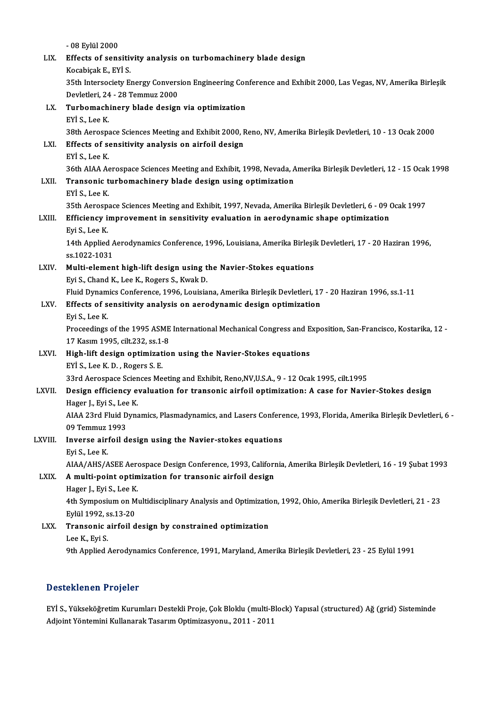|         | - 08 Eylül 2000                                                                                                        |
|---------|------------------------------------------------------------------------------------------------------------------------|
| LIX.    | Effects of sensitivity analysis on turbomachinery blade design                                                         |
|         | Kocabiçak E, EYİ S                                                                                                     |
|         | 35th Intersociety Energy Conversion Engineering Conference and Exhibit 2000, Las Vegas, NV, Amerika Birleşik           |
|         | Devletleri, 24 - 28 Temmuz 2000                                                                                        |
| LX.     | Turbomachinery blade design via optimization                                                                           |
|         | EYİ S, Lee K                                                                                                           |
|         | 38th Aerospace Sciences Meeting and Exhibit 2000, Reno, NV, Amerika Birleşik Devletleri, 10 - 13 Ocak 2000             |
| LXI.    | Effects of sensitivity analysis on airfoil design                                                                      |
|         | EYİ S, Lee K                                                                                                           |
|         | 36th AIAA Aerospace Sciences Meeting and Exhibit, 1998, Nevada, Amerika Birleşik Devletleri, 12 - 15 Ocak 1998         |
| LXII.   | Transonic turbomachinery blade design using optimization                                                               |
|         | EYİ S, Lee K                                                                                                           |
|         | 35th Aerospace Sciences Meeting and Exhibit, 1997, Nevada, Amerika Birleşik Devletleri, 6 - 09 Ocak 1997               |
| LXIII.  | Efficiency improvement in sensitivity evaluation in aerodynamic shape optimization                                     |
|         | Eyi S, Lee K                                                                                                           |
|         | 14th Applied Aerodynamics Conference, 1996, Louisiana, Amerika Birleşik Devletleri, 17 - 20 Haziran 1996,              |
|         | ss 1022-1031                                                                                                           |
| LXIV.   | Multi-element high-lift design using the Navier-Stokes equations                                                       |
|         | Eyi S., Chand K., Lee K., Rogers S., Kwak D.                                                                           |
|         | Fluid Dynamics Conference, 1996, Louisiana, Amerika Birleşik Devletleri, 17 - 20 Haziran 1996, ss.1-11                 |
| LXV.    | Effects of sensitivity analysis on aerodynamic design optimization                                                     |
|         | Eyi S, Lee K                                                                                                           |
|         | Proceedings of the 1995 ASME International Mechanical Congress and Exposition, San-Francisco, Kostarika, 12 -          |
|         | 17 Kasım 1995, cilt 232, ss 1-8                                                                                        |
| LXVI.   | High-lift design optimization using the Navier-Stokes equations                                                        |
|         | EYİ S., Lee K.D., Rogers S.E.                                                                                          |
|         | 33rd Aerospace Sciences Meeting and Exhibit, Reno, NV, U.S.A., 9 - 12 Ocak 1995, cilt.1995                             |
| LXVII.  | Design efficiency evaluation for transonic airfoil optimization: A case for Navier-Stokes design                       |
|         | Hager J., Eyi S., Lee K.                                                                                               |
|         | AIAA 23rd Fluid Dynamics, Plasmadynamics, and Lasers Conference, 1993, Florida, Amerika Birleşik Devletleri, 6 -       |
|         | 09 Temmuz 1993                                                                                                         |
| LXVIII. | Inverse airfoil design using the Navier-stokes equations                                                               |
|         | Eyi S, Lee K                                                                                                           |
|         | AIAA/AHS/ASEE Aerospace Design Conference, 1993, California, Amerika Birleşik Devletleri, 16 - 19 Şubat 1993           |
| LXIX.   | A multi-point optimization for transonic airfoil design                                                                |
|         | Hager J., Eyi S., Lee K.                                                                                               |
|         | 4th Symposium on Multidisciplinary Analysis and Optimization, 1992, Ohio, Amerika Birleşik Devletleri, 21 - 23         |
|         | Eylül 1992, ss 13-20                                                                                                   |
| LXX.    | Transonic airfoil design by constrained optimization                                                                   |
|         | Lee K., Eyi S.<br>9th Applied Aerodynamics Conference, 1991, Maryland, Amerika Birleşik Devletleri, 23 - 25 Eylül 1991 |
|         |                                                                                                                        |

### Desteklenen Projeler

Desteklenen Projeler<br>EYİ S., Yükseköğretim Kurumları Destekli Proje, Çok Bloklu (multi-Block) Yapısal (structured) Ağ (grid) Sisteminde<br>Adioint Yöntemini Kullanarak Tesarım Optimirasyonu, 2011, 2011 2 OSCONCHON I I FOJOISI<br>EYİ S., Yükseköğretim Kurumları Destekli Proje, Çok Bloklu (multi-B<br>Adjoint Yöntemini Kullanarak Tasarım Optimizasyonu., 2011 - 2011